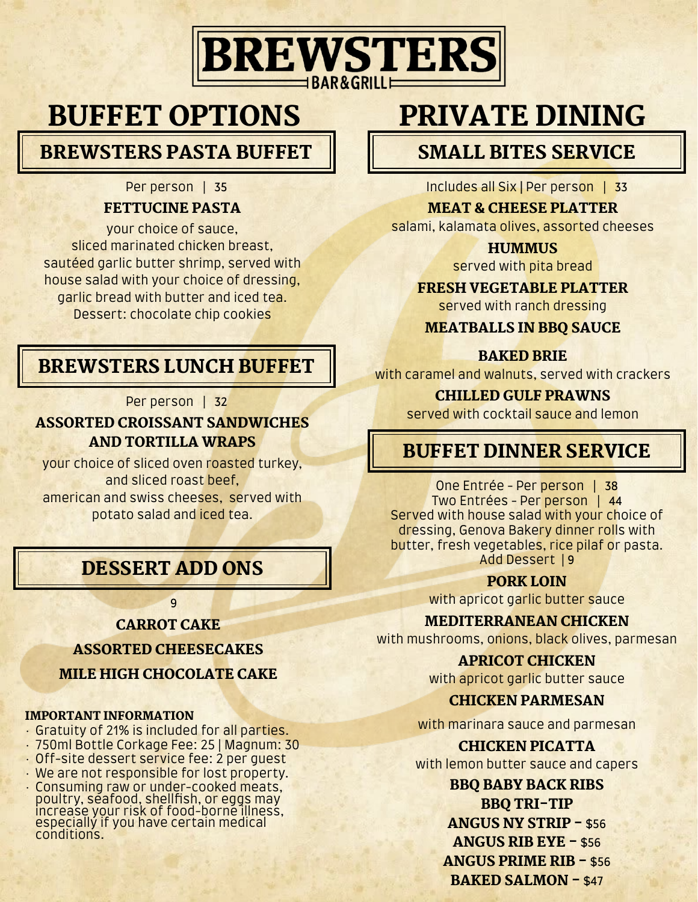# **BREWSTERS**

# BUFFET OPTIONS

BREWSTERS PASTA BUFFET

#### Per person | 35

#### FETTUCINE PASTA

your choice of sauce, sliced marinated chicken breast, sautéed garlic butter shrimp, served with house salad with your choice of dressing, garlic bread with butter and iced tea. Dessert: chocolate chip cookies

# BREWSTERS LUNCH BUFFET

Per person | 32

#### ASSORTED CROISSANT SANDWICHES AND TORTILLA WRAPS

your choice of sliced oven roasted turkey, and sliced roast beef, american and swiss cheeses, served with potato salad and iced tea.

# DESSERT ADD ONS

9

#### CARROT CAKE

ASSORTED CHEESECAKES

MILE HIGH CHOCOLATE CAKE

#### IMPORTANT INFORMATION

- Gratuity of 21% is included for all parties.
- 750ml Bottle Corkage Fee: 25 | Magnum: 30
- Off-site dessert service fee: 2 per guest
- We are not responsible for lost property.
- Consuming raw or under-cooked meats, poultry, seafood, shellfish, or eggs may<br>increase your risk of food-borne illness, especially if you have certain medical conditions.

# PRIVATE DINING

# SMALL BITES SERVICE

Includes all Six | Per person | 33

#### MEAT & CHEESE PLATTER

salami, kalamata olives, assorted cheeses

**HUMMUS** 

served with pita bread

#### FRESH VEGETABLE PLATTER

served with ranch dressing

MEATBALLS IN BBQ SAUCE

#### BAKED BRIE

with caramel and walnuts, served with crackers

#### CHILLED GULF PRAWNS

served with cocktail sauce and lemon

# BUFFET DINNER SERVICE

One Entrée - Per person | 38 Two Entrées - Per person | 44 Served with house salad with your choice of dressing, Genova Bakery dinner rolls with butter, fresh vegetables, rice pilaf or pasta. Add Dessert | 9

#### PORK LOIN

with apricot garlic butter sauce

#### MEDITERRANEAN CHICKEN

with mushrooms, onions, black olives, parmesan

### APRICOT CHICKEN

with apricot garlic butter sauce

#### CHICKEN PARMESAN

with marinara sauce and parmesan

# CHICKEN PICATTA

with lemon butter sauce and capers

BBQ BABY BACK RIBS BBQ TRI-TIP ANGUS NY STRIP - \$56 ANGUS RIB EYE - \$56 ANGUS PRIME RIB - \$56 BAKED SALMON - \$47